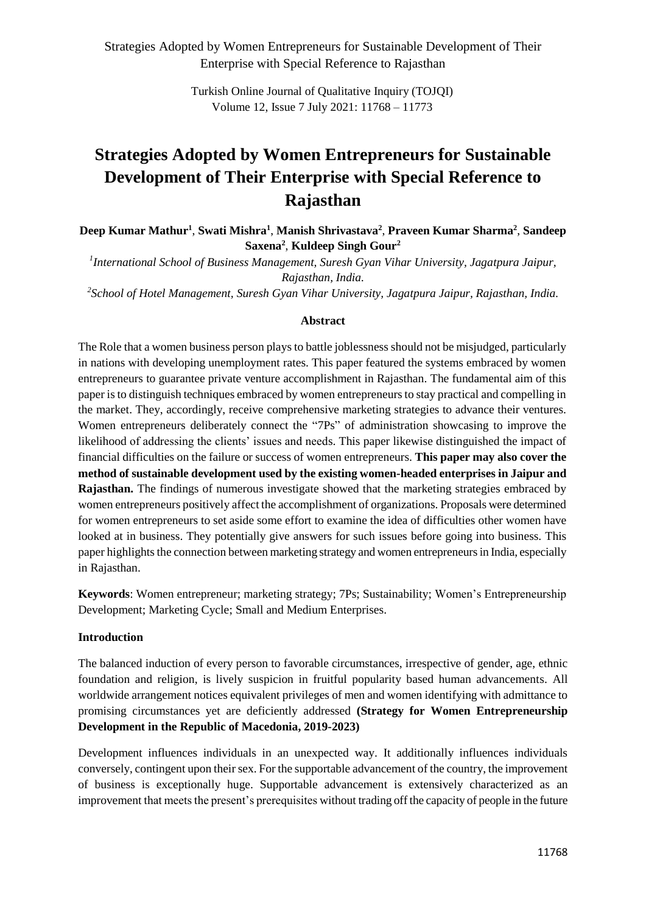Strategies Adopted by Women Entrepreneurs for Sustainable Development of Their Enterprise with Special Reference to Rajasthan

> Turkish Online Journal of Qualitative Inquiry (TOJQI) Volume 12, Issue 7 July 2021: 11768 – 11773

# **Strategies Adopted by Women Entrepreneurs for Sustainable Development of Their Enterprise with Special Reference to Rajasthan**

**Deep Kumar Mathur<sup>1</sup>** , **Swati Mishra<sup>1</sup>** , **Manish Shrivastava<sup>2</sup>** , **Praveen Kumar Sharma<sup>2</sup>** , **Sandeep Saxena<sup>2</sup>** , **Kuldeep Singh Gour<sup>2</sup>**

*1 International School of Business Management, Suresh Gyan Vihar University, Jagatpura Jaipur, Rajasthan, India.*

*2 School of Hotel Management, Suresh Gyan Vihar University, Jagatpura Jaipur, Rajasthan, India.*

#### **Abstract**

The Role that a women business person plays to battle joblessness should not be misjudged, particularly in nations with developing unemployment rates. This paper featured the systems embraced by women entrepreneurs to guarantee private venture accomplishment in Rajasthan. The fundamental aim of this paper is to distinguish techniques embraced by women entrepreneurs to stay practical and compelling in the market. They, accordingly, receive comprehensive marketing strategies to advance their ventures. Women entrepreneurs deliberately connect the "7Ps" of administration showcasing to improve the likelihood of addressing the clients' issues and needs. This paper likewise distinguished the impact of financial difficulties on the failure or success of women entrepreneurs. **This paper may also cover the method of sustainable development used by the existing women-headed enterprises in Jaipur and Rajasthan.** The findings of numerous investigate showed that the marketing strategies embraced by women entrepreneurs positively affect the accomplishment of organizations. Proposals were determined for women entrepreneurs to set aside some effort to examine the idea of difficulties other women have looked at in business. They potentially give answers for such issues before going into business. This paper highlights the connection between marketing strategy and women entrepreneursin India, especially in Rajasthan.

**Keywords**: Women entrepreneur; marketing strategy; 7Ps; Sustainability; Women's Entrepreneurship Development; Marketing Cycle; Small and Medium Enterprises.

#### **Introduction**

The balanced induction of every person to favorable circumstances, irrespective of gender, age, ethnic foundation and religion, is lively suspicion in fruitful popularity based human advancements. All worldwide arrangement notices equivalent privileges of men and women identifying with admittance to promising circumstances yet are deficiently addressed **(Strategy for Women Entrepreneurship Development in the Republic of Macedonia, 2019-2023)**

Development influences individuals in an unexpected way. It additionally influences individuals conversely, contingent upon their sex. For the supportable advancement of the country, the improvement of business is exceptionally huge. Supportable advancement is extensively characterized as an improvement that meets the present's prerequisites without trading off the capacity of people in the future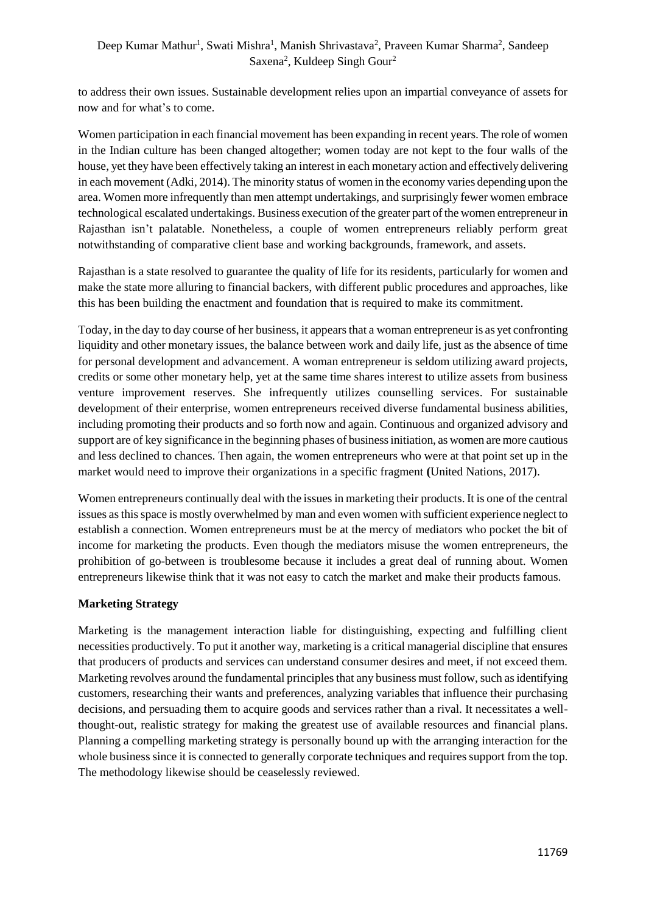# Deep Kumar Mathur<sup>1</sup>, Swati Mishra<sup>1</sup>, Manish Shrivastava<sup>2</sup>, Praveen Kumar Sharma<sup>2</sup>, Sandeep Saxena<sup>2</sup>, Kuldeep Singh Gour<sup>2</sup>

to address their own issues. Sustainable development relies upon an impartial conveyance of assets for now and for what's to come.

Women participation in each financial movement has been expanding in recent years. The role of women in the Indian culture has been changed altogether; women today are not kept to the four walls of the house, yet they have been effectively taking an interest in each monetary action and effectively delivering in each movement (Adki, 2014). The minority status of women in the economy varies depending upon the area. Women more infrequently than men attempt undertakings, and surprisingly fewer women embrace technological escalated undertakings. Business execution of the greater part of the women entrepreneur in Rajasthan isn't palatable. Nonetheless, a couple of women entrepreneurs reliably perform great notwithstanding of comparative client base and working backgrounds, framework, and assets.

Rajasthan is a state resolved to guarantee the quality of life for its residents, particularly for women and make the state more alluring to financial backers, with different public procedures and approaches, like this has been building the enactment and foundation that is required to make its commitment.

Today, in the day to day course of her business, it appears that a woman entrepreneur is as yet confronting liquidity and other monetary issues, the balance between work and daily life, just as the absence of time for personal development and advancement. A woman entrepreneur is seldom utilizing award projects, credits or some other monetary help, yet at the same time shares interest to utilize assets from business venture improvement reserves. She infrequently utilizes counselling services. For sustainable development of their enterprise, women entrepreneurs received diverse fundamental business abilities, including promoting their products and so forth now and again. Continuous and organized advisory and support are of key significance in the beginning phases of business initiation, as women are more cautious and less declined to chances. Then again, the women entrepreneurs who were at that point set up in the market would need to improve their organizations in a specific fragment **(**United Nations, 2017).

Women entrepreneurs continually deal with the issues in marketing their products. It is one of the central issues as this space is mostly overwhelmed by man and even women with sufficient experience neglect to establish a connection. Women entrepreneurs must be at the mercy of mediators who pocket the bit of income for marketing the products. Even though the mediators misuse the women entrepreneurs, the prohibition of go-between is troublesome because it includes a great deal of running about. Women entrepreneurs likewise think that it was not easy to catch the market and make their products famous.

# **Marketing Strategy**

Marketing is the management interaction liable for distinguishing, expecting and fulfilling client necessities productively. To put it another way, marketing is a critical managerial discipline that ensures that producers of products and services can understand consumer desires and meet, if not exceed them. Marketing revolves around the fundamental principles that any business must follow, such as identifying customers, researching their wants and preferences, analyzing variables that influence their purchasing decisions, and persuading them to acquire goods and services rather than a rival. It necessitates a wellthought-out, realistic strategy for making the greatest use of available resources and financial plans. Planning a compelling marketing strategy is personally bound up with the arranging interaction for the whole business since it is connected to generally corporate techniques and requires support from the top. The methodology likewise should be ceaselessly reviewed.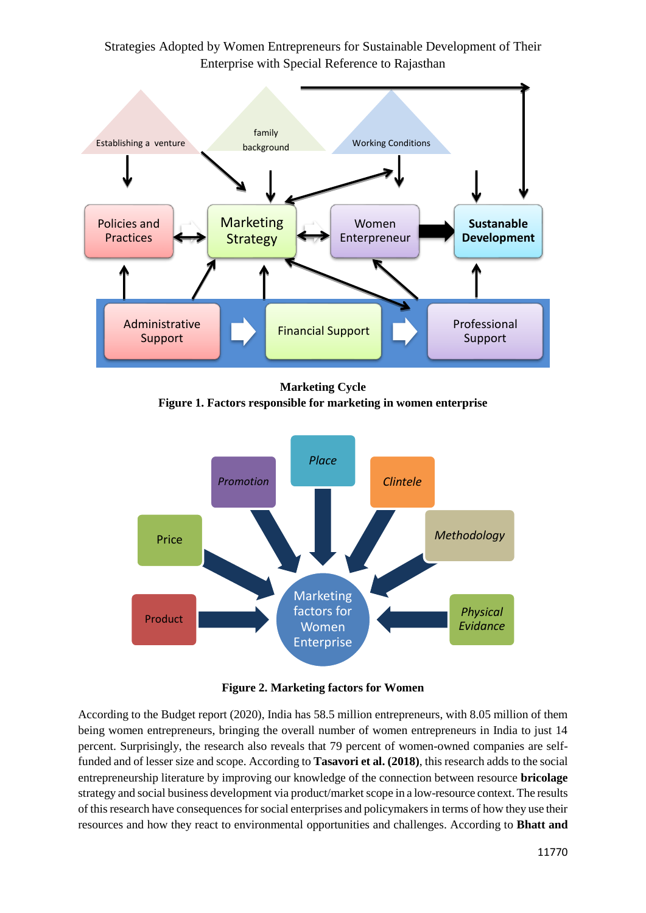Strategies Adopted by Women Entrepreneurs for Sustainable Development of Their Enterprise with Special Reference to Rajasthan



**Marketing Cycle Figure 1. Factors responsible for marketing in women enterprise**



**Figure 2. Marketing factors for Women**

According to the Budget report (2020), India has 58.5 million entrepreneurs, with 8.05 million of them being women entrepreneurs, bringing the overall number of women entrepreneurs in India to just 14 percent. Surprisingly, the research also reveals that 79 percent of women-owned companies are selffunded and of lesser size and scope. According to **Tasavori et al. (2018)**, this research adds to the social entrepreneurship literature by improving our knowledge of the connection between resource **bricolage** strategy and social business development via product/market scope in a low-resource context. The results of this research have consequences for social enterprises and policymakers in terms of how they use their resources and how they react to environmental opportunities and challenges. According to **Bhatt and**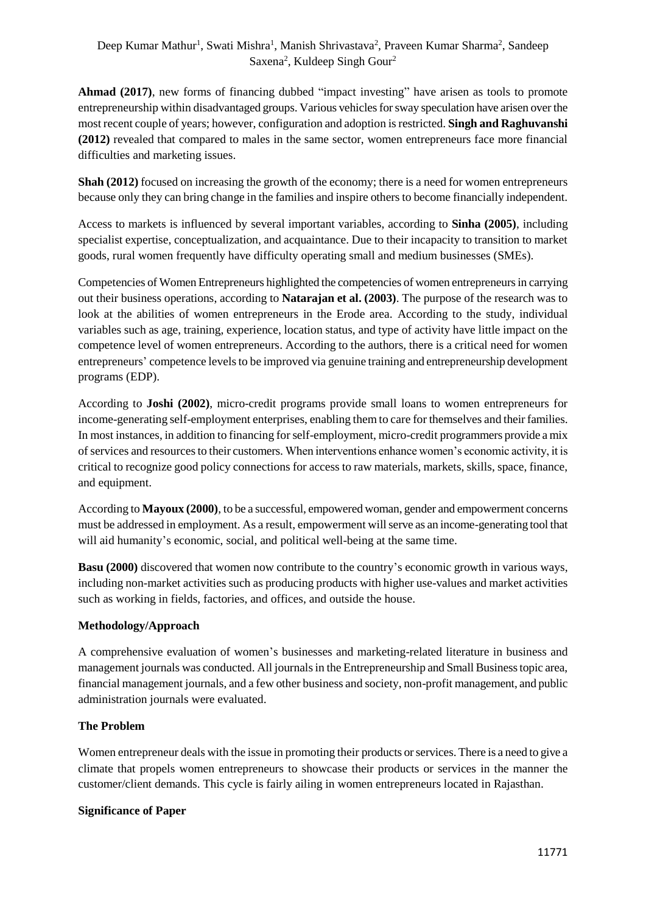# Deep Kumar Mathur<sup>1</sup>, Swati Mishra<sup>1</sup>, Manish Shrivastava<sup>2</sup>, Praveen Kumar Sharma<sup>2</sup>, Sandeep Saxena<sup>2</sup>, Kuldeep Singh Gour<sup>2</sup>

**Ahmad (2017)**, new forms of financing dubbed "impact investing" have arisen as tools to promote entrepreneurship within disadvantaged groups. Various vehicles for sway speculation have arisen over the most recent couple of years; however, configuration and adoption is restricted. **Singh and Raghuvanshi (2012)** revealed that compared to males in the same sector, women entrepreneurs face more financial difficulties and marketing issues.

**Shah (2012)** focused on increasing the growth of the economy; there is a need for women entrepreneurs because only they can bring change in the families and inspire others to become financially independent.

Access to markets is influenced by several important variables, according to **Sinha (2005)**, including specialist expertise, conceptualization, and acquaintance. Due to their incapacity to transition to market goods, rural women frequently have difficulty operating small and medium businesses (SMEs).

Competencies of Women Entrepreneurs highlighted the competencies of women entrepreneurs in carrying out their business operations, according to **Natarajan et al. (2003)**. The purpose of the research was to look at the abilities of women entrepreneurs in the Erode area. According to the study, individual variables such as age, training, experience, location status, and type of activity have little impact on the competence level of women entrepreneurs. According to the authors, there is a critical need for women entrepreneurs' competence levels to be improved via genuine training and entrepreneurship development programs (EDP).

According to **Joshi (2002)**, micro-credit programs provide small loans to women entrepreneurs for income-generating self-employment enterprises, enabling them to care for themselves and their families. In most instances, in addition to financing for self-employment, micro-credit programmers provide a mix of services and resources to their customers. When interventions enhance women's economic activity, it is critical to recognize good policy connections for access to raw materials, markets, skills, space, finance, and equipment.

According to **Mayoux (2000)**, to be a successful, empowered woman, gender and empowerment concerns must be addressed in employment. As a result, empowerment will serve as an income-generating tool that will aid humanity's economic, social, and political well-being at the same time.

**Basu (2000)** discovered that women now contribute to the country's economic growth in various ways, including non-market activities such as producing products with higher use-values and market activities such as working in fields, factories, and offices, and outside the house.

# **Methodology/Approach**

A comprehensive evaluation of women's businesses and marketing-related literature in business and management journals was conducted. All journals in the Entrepreneurship and Small Business topic area, financial management journals, and a few other business and society, non-profit management, and public administration journals were evaluated.

#### **The Problem**

Women entrepreneur deals with the issue in promoting their products or services. There is a need to give a climate that propels women entrepreneurs to showcase their products or services in the manner the customer/client demands. This cycle is fairly ailing in women entrepreneurs located in Rajasthan.

#### **Significance of Paper**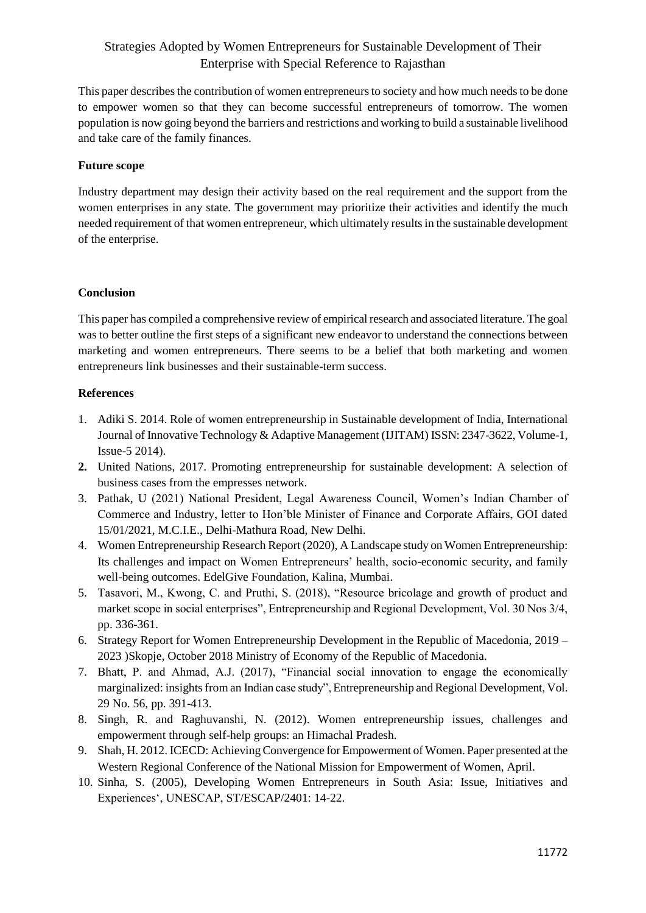# Strategies Adopted by Women Entrepreneurs for Sustainable Development of Their Enterprise with Special Reference to Rajasthan

This paper describes the contribution of women entrepreneurs to society and how much needs to be done to empower women so that they can become successful entrepreneurs of tomorrow. The women population is now going beyond the barriers and restrictions and working to build a sustainable livelihood and take care of the family finances.

## **Future scope**

Industry department may design their activity based on the real requirement and the support from the women enterprises in any state. The government may prioritize their activities and identify the much needed requirement of that women entrepreneur, which ultimately results in the sustainable development of the enterprise.

## **Conclusion**

This paper has compiled a comprehensive review of empirical research and associated literature. The goal was to better outline the first steps of a significant new endeavor to understand the connections between marketing and women entrepreneurs. There seems to be a belief that both marketing and women entrepreneurs link businesses and their sustainable-term success.

## **References**

- 1. Adiki S. 2014. Role of women entrepreneurship in Sustainable development of India, International Journal of Innovative Technology & Adaptive Management (IJITAM) ISSN: 2347-3622, Volume-1, Issue-5 2014).
- **2.** United Nations, 2017. Promoting entrepreneurship for sustainable development: A selection of business cases from the empresses network.
- 3. Pathak, U (2021) National President, Legal Awareness Council, Women's Indian Chamber of Commerce and Industry, letter to Hon'ble Minister of Finance and Corporate Affairs, GOI dated 15/01/2021, M.C.I.E., Delhi-Mathura Road, New Delhi.
- 4. Women Entrepreneurship Research Report (2020), A Landscape study on Women Entrepreneurship: Its challenges and impact on Women Entrepreneurs' health, socio-economic security, and family well-being outcomes. EdelGive Foundation, Kalina, Mumbai.
- 5. Tasavori, M., Kwong, C. and Pruthi, S. (2018), "Resource bricolage and growth of product and market scope in social enterprises", Entrepreneurship and Regional Development, Vol. 30 Nos 3/4, pp. 336-361.
- 6. Strategy Report for Women Entrepreneurship Development in the Republic of Macedonia, 2019 2023 )Skopje, October 2018 Ministry of Economy of the Republic of Macedonia.
- 7. Bhatt, P. and Ahmad, A.J. (2017), "Financial social innovation to engage the economically marginalized: insights from an Indian case study", Entrepreneurship and Regional Development, Vol. 29 No. 56, pp. 391-413.
- 8. Singh, R. and Raghuvanshi, N. (2012). Women entrepreneurship issues, challenges and empowerment through self-help groups: an Himachal Pradesh.
- 9. Shah, H. 2012. ICECD: Achieving Convergence for Empowerment of Women. Paper presented at the Western Regional Conference of the National Mission for Empowerment of Women, April.
- 10. Sinha, S. (2005), Developing Women Entrepreneurs in South Asia: Issue, Initiatives and Experiences', UNESCAP, ST/ESCAP/2401: 14-22.